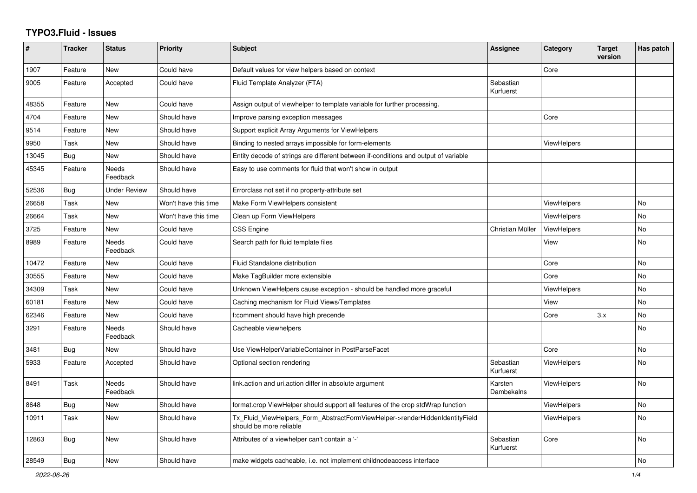## **TYPO3.Fluid - Issues**

| #     | <b>Tracker</b> | <b>Status</b>     | <b>Priority</b>      | <b>Subject</b>                                                                                         | Assignee               | Category           | <b>Target</b><br>version | Has patch |
|-------|----------------|-------------------|----------------------|--------------------------------------------------------------------------------------------------------|------------------------|--------------------|--------------------------|-----------|
| 1907  | Feature        | <b>New</b>        | Could have           | Default values for view helpers based on context                                                       |                        | Core               |                          |           |
| 9005  | Feature        | Accepted          | Could have           | Fluid Template Analyzer (FTA)                                                                          | Sebastian<br>Kurfuerst |                    |                          |           |
| 48355 | Feature        | New               | Could have           | Assign output of viewhelper to template variable for further processing.                               |                        |                    |                          |           |
| 4704  | Feature        | New               | Should have          | Improve parsing exception messages                                                                     |                        | Core               |                          |           |
| 9514  | Feature        | <b>New</b>        | Should have          | Support explicit Array Arguments for ViewHelpers                                                       |                        |                    |                          |           |
| 9950  | Task           | <b>New</b>        | Should have          | Binding to nested arrays impossible for form-elements                                                  |                        | <b>ViewHelpers</b> |                          |           |
| 13045 | Bug            | New               | Should have          | Entity decode of strings are different between if-conditions and output of variable                    |                        |                    |                          |           |
| 45345 | Feature        | Needs<br>Feedback | Should have          | Easy to use comments for fluid that won't show in output                                               |                        |                    |                          |           |
| 52536 | <b>Bug</b>     | Under Review      | Should have          | Errorclass not set if no property-attribute set                                                        |                        |                    |                          |           |
| 26658 | Task           | <b>New</b>        | Won't have this time | Make Form ViewHelpers consistent                                                                       |                        | <b>ViewHelpers</b> |                          | No        |
| 26664 | Task           | <b>New</b>        | Won't have this time | Clean up Form ViewHelpers                                                                              |                        | ViewHelpers        |                          | <b>No</b> |
| 3725  | Feature        | <b>New</b>        | Could have           | <b>CSS Engine</b>                                                                                      | Christian Müller       | ViewHelpers        |                          | <b>No</b> |
| 8989  | Feature        | Needs<br>Feedback | Could have           | Search path for fluid template files                                                                   |                        | View               |                          | No        |
| 10472 | Feature        | <b>New</b>        | Could have           | Fluid Standalone distribution                                                                          |                        | Core               |                          | <b>No</b> |
| 30555 | Feature        | New               | Could have           | Make TagBuilder more extensible                                                                        |                        | Core               |                          | No        |
| 34309 | Task           | <b>New</b>        | Could have           | Unknown ViewHelpers cause exception - should be handled more graceful                                  |                        | ViewHelpers        |                          | <b>No</b> |
| 60181 | Feature        | <b>New</b>        | Could have           | Caching mechanism for Fluid Views/Templates                                                            |                        | View               |                          | <b>No</b> |
| 62346 | Feature        | <b>New</b>        | Could have           | f:comment should have high precende                                                                    |                        | Core               | 3.x                      | No        |
| 3291  | Feature        | Needs<br>Feedback | Should have          | Cacheable viewhelpers                                                                                  |                        |                    |                          | <b>No</b> |
| 3481  | <b>Bug</b>     | New               | Should have          | Use ViewHelperVariableContainer in PostParseFacet                                                      |                        | Core               |                          | No        |
| 5933  | Feature        | Accepted          | Should have          | Optional section rendering                                                                             | Sebastian<br>Kurfuerst | <b>ViewHelpers</b> |                          | No        |
| 8491  | Task           | Needs<br>Feedback | Should have          | link.action and uri.action differ in absolute argument                                                 | Karsten<br>Dambekalns  | ViewHelpers        |                          | No        |
| 8648  | Bug            | <b>New</b>        | Should have          | format.crop ViewHelper should support all features of the crop stdWrap function                        |                        | ViewHelpers        |                          | <b>No</b> |
| 10911 | Task           | New               | Should have          | Tx_Fluid_ViewHelpers_Form_AbstractFormViewHelper->renderHiddenIdentityField<br>should be more reliable |                        | ViewHelpers        |                          | No        |
| 12863 | Bug            | <b>New</b>        | Should have          | Attributes of a viewhelper can't contain a '-'                                                         | Sebastian<br>Kurfuerst | Core               |                          | <b>No</b> |
| 28549 | Bug            | <b>New</b>        | Should have          | make widgets cacheable, i.e. not implement childnodeaccess interface                                   |                        |                    |                          | No        |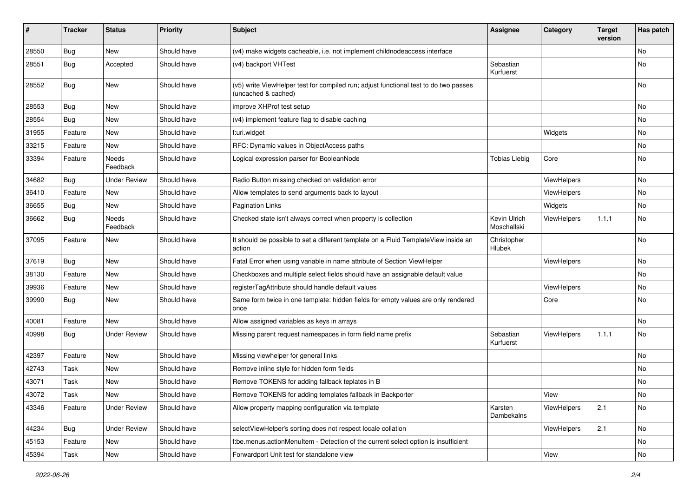| #     | <b>Tracker</b> | <b>Status</b>       | <b>Priority</b> | <b>Subject</b>                                                                                              | <b>Assignee</b>             | Category    | <b>Target</b><br>version | Has patch     |
|-------|----------------|---------------------|-----------------|-------------------------------------------------------------------------------------------------------------|-----------------------------|-------------|--------------------------|---------------|
| 28550 | Bug            | New                 | Should have     | (v4) make widgets cacheable, i.e. not implement childnodeaccess interface                                   |                             |             |                          | <b>No</b>     |
| 28551 | Bug            | Accepted            | Should have     | (v4) backport VHTest                                                                                        | Sebastian<br>Kurfuerst      |             |                          | No            |
| 28552 | Bug            | New                 | Should have     | (v5) write ViewHelper test for compiled run; adjust functional test to do two passes<br>(uncached & cached) |                             |             |                          | <b>No</b>     |
| 28553 | Bug            | New                 | Should have     | improve XHProf test setup                                                                                   |                             |             |                          | <b>No</b>     |
| 28554 | Bug            | New                 | Should have     | (v4) implement feature flag to disable caching                                                              |                             |             |                          | No            |
| 31955 | Feature        | New                 | Should have     | f:uri.widget                                                                                                |                             | Widgets     |                          | No            |
| 33215 | Feature        | New                 | Should have     | RFC: Dynamic values in ObjectAccess paths                                                                   |                             |             |                          | No            |
| 33394 | Feature        | Needs<br>Feedback   | Should have     | Logical expression parser for BooleanNode                                                                   | <b>Tobias Liebig</b>        | Core        |                          | No            |
| 34682 | Bug            | <b>Under Review</b> | Should have     | Radio Button missing checked on validation error                                                            |                             | ViewHelpers |                          | <b>No</b>     |
| 36410 | Feature        | New                 | Should have     | Allow templates to send arguments back to layout                                                            |                             | ViewHelpers |                          | No            |
| 36655 | Bug            | New                 | Should have     | <b>Pagination Links</b>                                                                                     |                             | Widgets     |                          | <b>No</b>     |
| 36662 | Bug            | Needs<br>Feedback   | Should have     | Checked state isn't always correct when property is collection                                              | Kevin Ulrich<br>Moschallski | ViewHelpers | 1.1.1                    | No            |
| 37095 | Feature        | New                 | Should have     | It should be possible to set a different template on a Fluid TemplateView inside an<br>action               | Christopher<br>Hlubek       |             |                          | No            |
| 37619 | Bug            | New                 | Should have     | Fatal Error when using variable in name attribute of Section ViewHelper                                     |                             | ViewHelpers |                          | No            |
| 38130 | Feature        | New                 | Should have     | Checkboxes and multiple select fields should have an assignable default value                               |                             |             |                          | No            |
| 39936 | Feature        | New                 | Should have     | registerTagAttribute should handle default values                                                           |                             | ViewHelpers |                          | No            |
| 39990 | Bug            | New                 | Should have     | Same form twice in one template: hidden fields for empty values are only rendered<br>once                   |                             | Core        |                          | <b>No</b>     |
| 40081 | Feature        | New                 | Should have     | Allow assigned variables as keys in arrays                                                                  |                             |             |                          | No            |
| 40998 | Bug            | <b>Under Review</b> | Should have     | Missing parent request namespaces in form field name prefix                                                 | Sebastian<br>Kurfuerst      | ViewHelpers | 1.1.1                    | No            |
| 42397 | Feature        | New                 | Should have     | Missing viewhelper for general links                                                                        |                             |             |                          | No            |
| 42743 | Task           | New                 | Should have     | Remove inline style for hidden form fields                                                                  |                             |             |                          | <b>No</b>     |
| 43071 | Task           | New                 | Should have     | Remove TOKENS for adding fallback teplates in B                                                             |                             |             |                          | No            |
| 43072 | Task           | New                 | Should have     | Remove TOKENS for adding templates fallback in Backporter                                                   |                             | View        |                          | $\mathsf{No}$ |
| 43346 | Feature        | <b>Under Review</b> | Should have     | Allow property mapping configuration via template                                                           | Karsten<br>Dambekalns       | ViewHelpers | 2.1                      | No            |
| 44234 | <b>Bug</b>     | <b>Under Review</b> | Should have     | selectViewHelper's sorting does not respect locale collation                                                |                             | ViewHelpers | 2.1                      | No            |
| 45153 | Feature        | New                 | Should have     | f:be.menus.actionMenuItem - Detection of the current select option is insufficient                          |                             |             |                          | No            |
| 45394 | Task           | New                 | Should have     | Forwardport Unit test for standalone view                                                                   |                             | View        |                          | No            |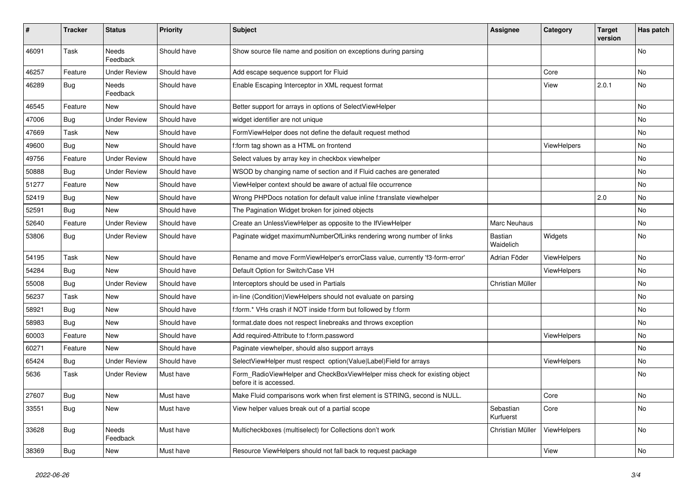| #     | <b>Tracker</b> | <b>Status</b>       | <b>Priority</b> | <b>Subject</b>                                                                                       | Assignee                    | Category           | Target<br>version | Has patch |
|-------|----------------|---------------------|-----------------|------------------------------------------------------------------------------------------------------|-----------------------------|--------------------|-------------------|-----------|
| 46091 | Task           | Needs<br>Feedback   | Should have     | Show source file name and position on exceptions during parsing                                      |                             |                    |                   | No        |
| 46257 | Feature        | <b>Under Review</b> | Should have     | Add escape sequence support for Fluid                                                                |                             | Core               |                   | No        |
| 46289 | Bug            | Needs<br>Feedback   | Should have     | Enable Escaping Interceptor in XML request format                                                    |                             | View               | 2.0.1             | No        |
| 46545 | Feature        | <b>New</b>          | Should have     | Better support for arrays in options of SelectViewHelper                                             |                             |                    |                   | No        |
| 47006 | Bug            | <b>Under Review</b> | Should have     | widget identifier are not unique                                                                     |                             |                    |                   | No        |
| 47669 | Task           | <b>New</b>          | Should have     | FormViewHelper does not define the default request method                                            |                             |                    |                   | No.       |
| 49600 | <b>Bug</b>     | <b>New</b>          | Should have     | f:form tag shown as a HTML on frontend                                                               |                             | ViewHelpers        |                   | No        |
| 49756 | Feature        | <b>Under Review</b> | Should have     | Select values by array key in checkbox viewhelper                                                    |                             |                    |                   | No        |
| 50888 | <b>Bug</b>     | <b>Under Review</b> | Should have     | WSOD by changing name of section and if Fluid caches are generated                                   |                             |                    |                   | <b>No</b> |
| 51277 | Feature        | <b>New</b>          | Should have     | ViewHelper context should be aware of actual file occurrence                                         |                             |                    |                   | No        |
| 52419 | <b>Bug</b>     | <b>New</b>          | Should have     | Wrong PHPDocs notation for default value inline f:translate viewhelper                               |                             |                    | 2.0               | No        |
| 52591 | Bug            | <b>New</b>          | Should have     | The Pagination Widget broken for joined objects                                                      |                             |                    |                   | No.       |
| 52640 | Feature        | <b>Under Review</b> | Should have     | Create an UnlessViewHelper as opposite to the IfViewHelper                                           | <b>Marc Neuhaus</b>         |                    |                   | No        |
| 53806 | Bug            | <b>Under Review</b> | Should have     | Paginate widget maximumNumberOfLinks rendering wrong number of links                                 | <b>Bastian</b><br>Waidelich | Widgets            |                   | No        |
| 54195 | Task           | New                 | Should have     | Rename and move FormViewHelper's errorClass value, currently 'f3-form-error'                         | Adrian Föder                | <b>ViewHelpers</b> |                   | No        |
| 54284 | Bug            | <b>New</b>          | Should have     | Default Option for Switch/Case VH                                                                    |                             | <b>ViewHelpers</b> |                   | No        |
| 55008 | <b>Bug</b>     | <b>Under Review</b> | Should have     | Interceptors should be used in Partials                                                              | Christian Müller            |                    |                   | No        |
| 56237 | Task           | <b>New</b>          | Should have     | in-line (Condition) View Helpers should not evaluate on parsing                                      |                             |                    |                   | No        |
| 58921 | Bug            | New                 | Should have     | f:form.* VHs crash if NOT inside f:form but followed by f:form                                       |                             |                    |                   | No        |
| 58983 | Bug            | <b>New</b>          | Should have     | format.date does not respect linebreaks and throws exception                                         |                             |                    |                   | No        |
| 60003 | Feature        | New                 | Should have     | Add required-Attribute to f:form.password                                                            |                             | ViewHelpers        |                   | No        |
| 60271 | Feature        | <b>New</b>          | Should have     | Paginate viewhelper, should also support arrays                                                      |                             |                    |                   | No        |
| 65424 | Bug            | <b>Under Review</b> | Should have     | SelectViewHelper must respect option(Value Label)Field for arrays                                    |                             | <b>ViewHelpers</b> |                   | No        |
| 5636  | Task           | <b>Under Review</b> | Must have       | Form_RadioViewHelper and CheckBoxViewHelper miss check for existing object<br>before it is accessed. |                             |                    |                   | No        |
| 27607 | <b>Bug</b>     | New                 | Must have       | Make Fluid comparisons work when first element is STRING, second is NULL.                            |                             | Core               |                   | No        |
| 33551 | <b>Bug</b>     | New                 | Must have       | View helper values break out of a partial scope                                                      | Sebastian<br>Kurfuerst      | Core               |                   | No        |
| 33628 | Bug            | Needs<br>Feedback   | Must have       | Multicheckboxes (multiselect) for Collections don't work                                             | Christian Müller            | ViewHelpers        |                   | No        |
| 38369 | <b>Bug</b>     | New                 | Must have       | Resource ViewHelpers should not fall back to request package                                         |                             | View               |                   | No        |